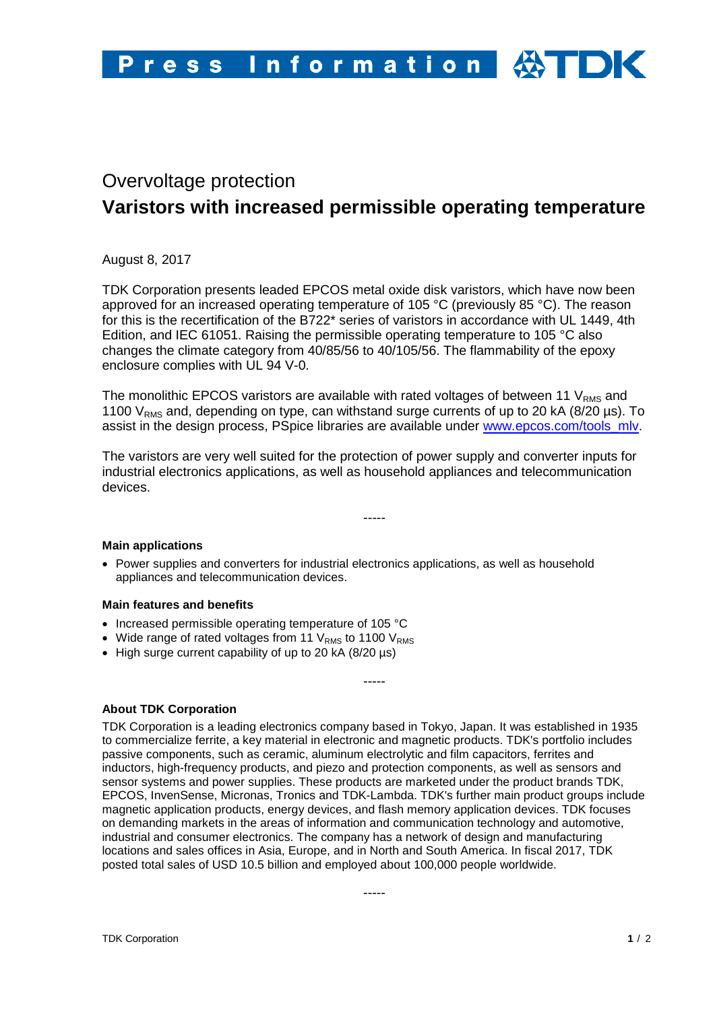# Overvoltage protection **Varistors with increased permissible operating temperature**

August 8, 2017

TDK Corporation presents leaded EPCOS metal oxide disk varistors, which have now been approved for an increased operating temperature of 105 °C (previously 85 °C). The reason for this is the recertification of the B722\* series of varistors in accordance with UL 1449, 4th Edition, and IEC 61051. Raising the permissible operating temperature to 105 °C also changes the climate category from 40/85/56 to 40/105/56. The flammability of the epoxy enclosure complies with UL 94 V-0.

The monolithic EPCOS varistors are available with rated voltages of between 11  $V_{RMS}$  and 1100  $V_{RMS}$  and, depending on type, can withstand surge currents of up to 20 kA (8/20 µs). To assist in the design process, PSpice libraries are available under [www.epcos.com/tools\\_mlv.](http://www.epcos.com/tools_mlv)

The varistors are very well suited for the protection of power supply and converter inputs for industrial electronics applications, as well as household appliances and telecommunication devices.

-----

## **Main applications**

• Power supplies and converters for industrial electronics applications, as well as household appliances and telecommunication devices.

#### **Main features and benefits**

- Increased permissible operating temperature of 105 °C
- Wide range of rated voltages from 11  $V<sub>RMS</sub>$  to 1100  $V<sub>RMS</sub>$
- High surge current capability of up to 20 kA (8/20 µs)

## **About TDK Corporation**

TDK Corporation is a leading electronics company based in Tokyo, Japan. It was established in 1935 to commercialize ferrite, a key material in electronic and magnetic products. TDK's portfolio includes passive components, such as ceramic, aluminum electrolytic and film capacitors, ferrites and inductors, high-frequency products, and piezo and protection components, as well as sensors and sensor systems and power supplies. These products are marketed under the product brands TDK, EPCOS, InvenSense, Micronas, Tronics and TDK-Lambda. TDK's further main product groups include magnetic application products, energy devices, and flash memory application devices. TDK focuses on demanding markets in the areas of information and communication technology and automotive, industrial and consumer electronics. The company has a network of design and manufacturing locations and sales offices in Asia, Europe, and in North and South America. In fiscal 2017, TDK posted total sales of USD 10.5 billion and employed about 100,000 people worldwide.

-----

-----